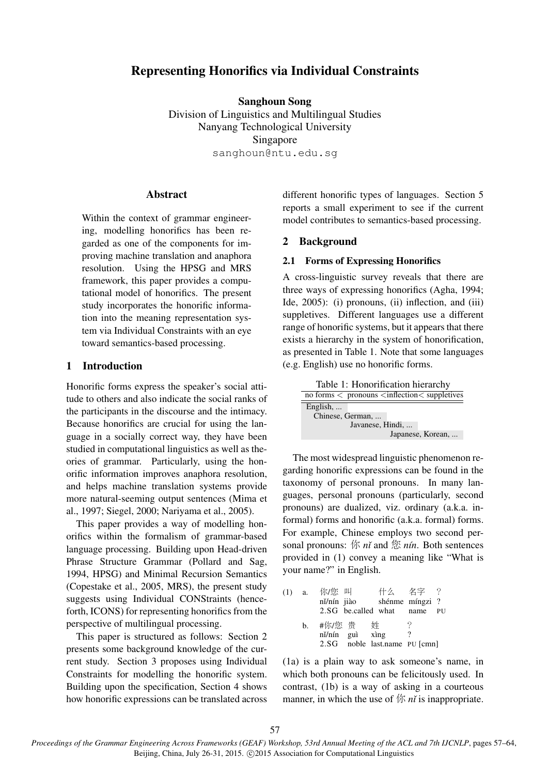# Representing Honorifics via Individual Constraints

Sanghoun Song Division of Linguistics and Multilingual Studies Nanyang Technological University Singapore sanghoun@ntu.edu.sg

### **Abstract**

Within the context of grammar engineering, modelling honorifics has been regarded as one of the components for improving machine translation and anaphora resolution. Using the HPSG and MRS framework, this paper provides a computational model of honorifics. The present study incorporates the honorific information into the meaning representation system via Individual Constraints with an eye toward semantics-based processing.

### 1 Introduction

Honorific forms express the speaker's social attitude to others and also indicate the social ranks of the participants in the discourse and the intimacy. Because honorifics are crucial for using the language in a socially correct way, they have been studied in computational linguistics as well as theories of grammar. Particularly, using the honorific information improves anaphora resolution, and helps machine translation systems provide more natural-seeming output sentences (Mima et al., 1997; Siegel, 2000; Nariyama et al., 2005).

This paper provides a way of modelling honorifics within the formalism of grammar-based language processing. Building upon Head-driven Phrase Structure Grammar (Pollard and Sag, 1994, HPSG) and Minimal Recursion Semantics (Copestake et al., 2005, MRS), the present study suggests using Individual CONStraints (henceforth, ICONS) for representing honorifics from the perspective of multilingual processing.

This paper is structured as follows: Section 2 presents some background knowledge of the current study. Section 3 proposes using Individual Constraints for modelling the honorific system. Building upon the specification, Section 4 shows how honorific expressions can be translated across different honorific types of languages. Section 5 reports a small experiment to see if the current model contributes to semantics-based processing.

## 2 Background

### 2.1 Forms of Expressing Honorifics

A cross-linguistic survey reveals that there are three ways of expressing honorifics (Agha, 1994; Ide, 2005): (i) pronouns, (ii) inflection, and (iii) suppletives. Different languages use a different range of honorific systems, but it appears that there exists a hierarchy in the system of honorification, as presented in Table 1. Note that some languages (e.g. English) use no honorific forms.

| Table 1: Honorification hierarchy                                      |
|------------------------------------------------------------------------|
| no forms $\langle$ pronouns $\langle$ inflection $\langle$ suppletives |
| English,                                                               |
| Chinese, German,                                                       |
| Javanese, Hindi,                                                       |
| Japanese, Korean,                                                      |

The most widespread linguistic phenomenon regarding honorific expressions can be found in the taxonomy of personal pronouns. In many languages, personal pronouns (particularly, second pronouns) are dualized, viz. ordinary (a.k.a. informal) forms and honorific (a.k.a. formal) forms. For example, Chinese employs two second personal pronouns: 你 *nˇı* and 您 *n´ın*. Both sentences provided in (1) convey a meaning like "What is your name?" in English.

| $(1)$ a. |    | 你/您 叫           |  | 什么 名字 ?                       |  |
|----------|----|-----------------|--|-------------------------------|--|
|          |    | nǐ/nín jiào     |  | shénme míngzi ?               |  |
|          |    |                 |  | 2.SG be.called what name PU   |  |
|          | b. | #你/您 帯 → 姓      |  | $\cdot$                       |  |
|          |    | ní/nín guì xìng |  |                               |  |
|          |    |                 |  | 2.SG noble last.name PU [cmn] |  |

(1a) is a plain way to ask someone's name, in which both pronouns can be felicitously used. In contrast, (1b) is a way of asking in a courteous manner, in which the use of  $\oint \vec{r}$  *n*<sup>*i*</sup> is inappropriate.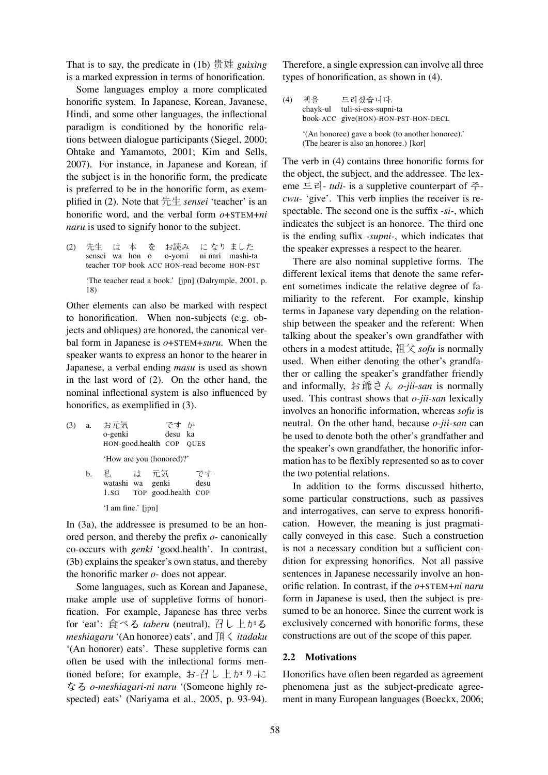That is to say, the predicate in (1b)  $\frac{1}{2}$   $\frac{1}{2}$  *guixing* is a marked expression in terms of honorification.

Some languages employ a more complicated honorific system. In Japanese, Korean, Javanese, Hindi, and some other languages, the inflectional paradigm is conditioned by the honorific relations between dialogue participants (Siegel, 2000; Ohtake and Yamamoto, 2001; Kim and Sells, 2007). For instance, in Japanese and Korean, if the subject is in the honorific form, the predicate is preferred to be in the honorific form, as exemplified in (2). Note that 先生 *sensei* 'teacher' is an honorific word, and the verbal form *o*+STEM+*ni naru* is used to signify honor to the subject.

(2) 先生 sensei wa hon o teacher TOP book ACC HON-read become HON-PST は 本 を お読み o-yomi に なり ました ni nari mashi-ta 'The teacher read a book.' [jpn] (Dalrymple, 2001, p. 18)

Other elements can also be marked with respect to honorification. When non-subjects (e.g. objects and obliques) are honored, the canonical verbal form in Japanese is *o*+STEM+*suru*. When the speaker wants to express an honor to the hearer in Japanese, a verbal ending *masu* is used as shown in the last word of (2). On the other hand, the nominal inflectional system is also influenced by honorifics, as exemplified in  $(3)$ .

| (3) | a. | お元気<br>o-genki<br>HON-good.health COP QUES                |  | です か<br>desu ka |            |
|-----|----|-----------------------------------------------------------|--|-----------------|------------|
|     |    | 'How are you (honored)?'                                  |  |                 |            |
|     |    | b. 私 は 元気<br>watashi wa genki<br>1.sG TOP good.health COP |  |                 | です<br>desu |
|     |    | 'I am fine.' [jpn]                                        |  |                 |            |

In (3a), the addressee is presumed to be an honored person, and thereby the prefix *o-* canonically co-occurs with *genki* 'good.health'. In contrast, (3b) explains the speaker's own status, and thereby the honorific marker *o-* does not appear.

Some languages, such as Korean and Japanese, make ample use of suppletive forms of honorification. For example, Japanese has three verbs for 'eat': 食べる *taberu* (neutral), 召し上がる *meshiagaru* '(An honoree) eats', and 頂く *itadaku* '(An honorer) eats'. These suppletive forms can often be used with the inflectional forms mentioned before; for example, お-召し上がり-に なる *o-meshiagari-ni naru* '(Someone highly respected) eats' (Nariyama et al., 2005, p. 93-94).

Therefore, a single expression can involve all three types of honorification, as shown in (4).

(4) 책을 chayk-ul book-ACC give(HON)-HON-PST-HON-DECL 드리셨습니다. tuli-si-ess-supni-ta '(An honoree) gave a book (to another honoree).' (The hearer is also an honoree.) [kor]

The verb in (4) contains three honorific forms for the object, the subject, and the addressee. The lexeme 드리- *tuli-* is a suppletive counterpart of 주*cwu-* 'give'. This verb implies the receiver is respectable. The second one is the suffix *-si-*, which indicates the subject is an honoree. The third one is the ending suffix *-supni-*, which indicates that the speaker expresses a respect to the hearer.

There are also nominal suppletive forms. The different lexical items that denote the same referent sometimes indicate the relative degree of familiarity to the referent. For example, kinship terms in Japanese vary depending on the relationship between the speaker and the referent: When talking about the speaker's own grandfather with others in a modest attitude, 祖父 *sofu* is normally used. When either denoting the other's grandfather or calling the speaker's grandfather friendly and informally, お爺さん *o-jii-san* is normally used. This contrast shows that *o-jii-san* lexically involves an honorific information, whereas *sofu* is neutral. On the other hand, because *o-jii-san* can be used to denote both the other's grandfather and the speaker's own grandfather, the honorific information has to be flexibly represented so as to cover the two potential relations.

In addition to the forms discussed hitherto, some particular constructions, such as passives and interrogatives, can serve to express honorification. However, the meaning is just pragmatically conveyed in this case. Such a construction is not a necessary condition but a sufficient condition for expressing honorifics. Not all passive sentences in Japanese necessarily involve an honorific relation. In contrast, if the *o*+STEM+*ni naru* form in Japanese is used, then the subject is presumed to be an honoree. Since the current work is exclusively concerned with honorific forms, these constructions are out of the scope of this paper.

#### 2.2 Motivations

Honorifics have often been regarded as agreement phenomena just as the subject-predicate agreement in many European languages (Boeckx, 2006;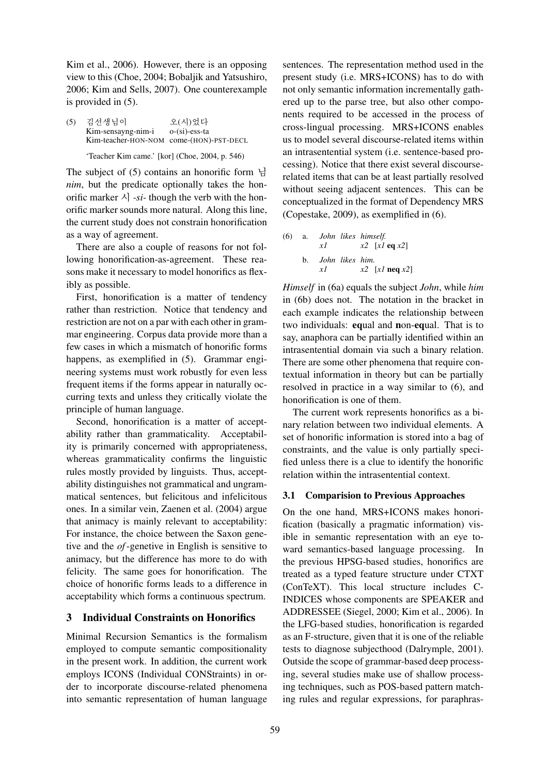Kim et al., 2006). However, there is an opposing view to this (Choe, 2004; Bobaljik and Yatsushiro, 2006; Kim and Sells, 2007). One counterexample is provided in (5).

 $(5)$  김선생님이 Kim-sensayng-nim-i Kim-teacher-HON-NOM come-(HON)-PST-DECL 오(시)었다 o-(si)-ess-ta 'Teacher Kim came.' [kor] (Choe, 2004, p. 546)

The subject of  $(5)$  contains an honorific form  $\forall$ *nim*, but the predicate optionally takes the honorific marker  $\lambda$  *-si-* though the verb with the honorific marker sounds more natural. Along this line, the current study does not constrain honorification as a way of agreement.

There are also a couple of reasons for not following honorification-as-agreement. These reasons make it necessary to model honorifics as flexibly as possible.

First, honorification is a matter of tendency rather than restriction. Notice that tendency and restriction are not on a par with each other in grammar engineering. Corpus data provide more than a few cases in which a mismatch of honorific forms happens, as exemplified in  $(5)$ . Grammar engineering systems must work robustly for even less frequent items if the forms appear in naturally occurring texts and unless they critically violate the principle of human language.

Second, honorification is a matter of acceptability rather than grammaticality. Acceptability is primarily concerned with appropriateness, whereas grammaticality confirms the linguistic rules mostly provided by linguists. Thus, acceptability distinguishes not grammatical and ungrammatical sentences, but felicitous and infelicitous ones. In a similar vein, Zaenen et al. (2004) argue that animacy is mainly relevant to acceptability: For instance, the choice between the Saxon genetive and the *of*-genetive in English is sensitive to animacy, but the difference has more to do with felicity. The same goes for honorification. The choice of honorific forms leads to a difference in acceptability which forms a continuous spectrum.

## 3 Individual Constraints on Honorifics

Minimal Recursion Semantics is the formalism employed to compute semantic compositionality in the present work. In addition, the current work employs ICONS (Individual CONStraints) in order to incorporate discourse-related phenomena into semantic representation of human language sentences. The representation method used in the present study (i.e. MRS+ICONS) has to do with not only semantic information incrementally gathered up to the parse tree, but also other components required to be accessed in the process of cross-lingual processing. MRS+ICONS enables us to model several discourse-related items within an intrasentential system (i.e. sentence-based processing). Notice that there exist several discourserelated items that can be at least partially resolved without seeing adjacent sentences. This can be conceptualized in the format of Dependency MRS (Copestake, 2009), as exemplified in (6).

(6) a. John likes himself.

\n
$$
x1 \quad x2 \quad [x1 \text{ eq } x2]
$$

\nb. John likes him.

\n
$$
x1 \quad x2 \quad [x1 \text{ neg } x2]
$$

*Himself* in (6a) equals the subject *John*, while *him* in (6b) does not. The notation in the bracket in each example indicates the relationship between two individuals: equal and non-equal. That is to say, anaphora can be partially identified within an intrasentential domain via such a binary relation. There are some other phenomena that require contextual information in theory but can be partially resolved in practice in a way similar to (6), and honorification is one of them.

The current work represents honorifics as a binary relation between two individual elements. A set of honorific information is stored into a bag of constraints, and the value is only partially specified unless there is a clue to identify the honorific relation within the intrasentential context.

## 3.1 Comparision to Previous Approaches

On the one hand, MRS+ICONS makes honorification (basically a pragmatic information) visible in semantic representation with an eye toward semantics-based language processing. In the previous HPSG-based studies, honorifics are treated as a typed feature structure under CTXT (ConTeXT). This local structure includes C-INDICES whose components are SPEAKER and ADDRESSEE (Siegel, 2000; Kim et al., 2006). In the LFG-based studies, honorification is regarded as an F-structure, given that it is one of the reliable tests to diagnose subjecthood (Dalrymple, 2001). Outside the scope of grammar-based deep processing, several studies make use of shallow processing techniques, such as POS-based pattern matching rules and regular expressions, for paraphras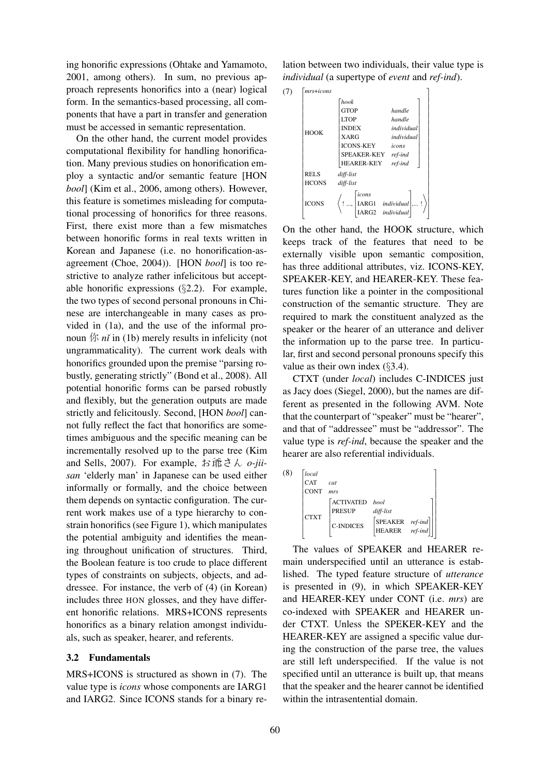ing honorific expressions (Ohtake and Yamamoto, 2001, among others). In sum, no previous approach represents honorifics into a (near) logical form. In the semantics-based processing, all components that have a part in transfer and generation must be accessed in semantic representation.

On the other hand, the current model provides computational flexibility for handling honorification. Many previous studies on honorification employ a syntactic and/or semantic feature [HON *bool*] (Kim et al., 2006, among others). However, this feature is sometimes misleading for computational processing of honorifics for three reasons. First, there exist more than a few mismatches between honorific forms in real texts written in Korean and Japanese (i.e. no honorification-asagreement (Choe, 2004)). [HON *bool*] is too restrictive to analyze rather infelicitous but acceptable honorific expressions (§2.2). For example, the two types of second personal pronouns in Chinese are interchangeable in many cases as provided in (1a), and the use of the informal pronoun  $\oint \vec{r}$  *n*<sup> $\hat{i}$ </sup> in (1b) merely results in infelicity (not ungrammaticality). The current work deals with honorifics grounded upon the premise "parsing robustly, generating strictly" (Bond et al., 2008). All potential honorific forms can be parsed robustly and flexibly, but the generation outputs are made strictly and felicitously. Second, [HON *bool*] cannot fully reflect the fact that honorifics are sometimes ambiguous and the specific meaning can be incrementally resolved up to the parse tree (Kim and Sells, 2007). For example, お爺さん *o-jiisan* 'elderly man' in Japanese can be used either informally or formally, and the choice between them depends on syntactic configuration. The current work makes use of a type hierarchy to constrain honorifics (see Figure 1), which manipulates the potential ambiguity and identifies the meaning throughout unification of structures. Third, the Boolean feature is too crude to place different types of constraints on subjects, objects, and addressee. For instance, the verb of (4) (in Korean) includes three HON glosses, and they have different honorific relations. MRS+ICONS represents honorifics as a binary relation amongst individuals, such as speaker, hearer, and referents.

### 3.2 Fundamentals

MRS+ICONS is structured as shown in (7). The value type is *icons* whose components are IARG1 and IARG2. Since ICONS stands for a binary relation between two individuals, their value type is *individual* (a supertype of *event* and *ref-ind*).



On the other hand, the HOOK structure, which keeps track of the features that need to be externally visible upon semantic composition, has three additional attributes, viz. ICONS-KEY, SPEAKER-KEY, and HEARER-KEY. These features function like a pointer in the compositional construction of the semantic structure. They are required to mark the constituent analyzed as the speaker or the hearer of an utterance and deliver the information up to the parse tree. In particular, first and second personal pronouns specify this value as their own index  $(\S3.4)$ .

CTXT (under *local*) includes C-INDICES just as Jacy does (Siegel, 2000), but the names are different as presented in the following AVM. Note that the counterpart of "speaker" must be "hearer", and that of "addressee" must be "addressor". The value type is *ref-ind*, because the speaker and the hearer are also referential individuals.

| (8) | local       |                                 |                                                                                                   |  |
|-----|-------------|---------------------------------|---------------------------------------------------------------------------------------------------|--|
|     | <b>CAT</b>  | cat                             |                                                                                                   |  |
|     | CONT        | mrs                             |                                                                                                   |  |
|     | <b>CTXT</b> | ACTIVATED bool<br><b>PRESUP</b> | diff-list                                                                                         |  |
|     |             | <b>C-INDICES</b>                | $\begin{bmatrix} \text{SPEAKER} & \text{ref-ind} \\ \text{HEARER} & \text{ref-ind} \end{bmatrix}$ |  |

The values of SPEAKER and HEARER remain underspecified until an utterance is established. The typed feature structure of *utterance* is presented in (9), in which SPEAKER-KEY and HEARER-KEY under CONT (i.e. *mrs*) are co-indexed with SPEAKER and HEARER under CTXT. Unless the SPEKER-KEY and the HEARER-KEY are assigned a specific value during the construction of the parse tree, the values are still left underspecified. If the value is not specified until an utterance is built up, that means that the speaker and the hearer cannot be identified within the intrasentential domain.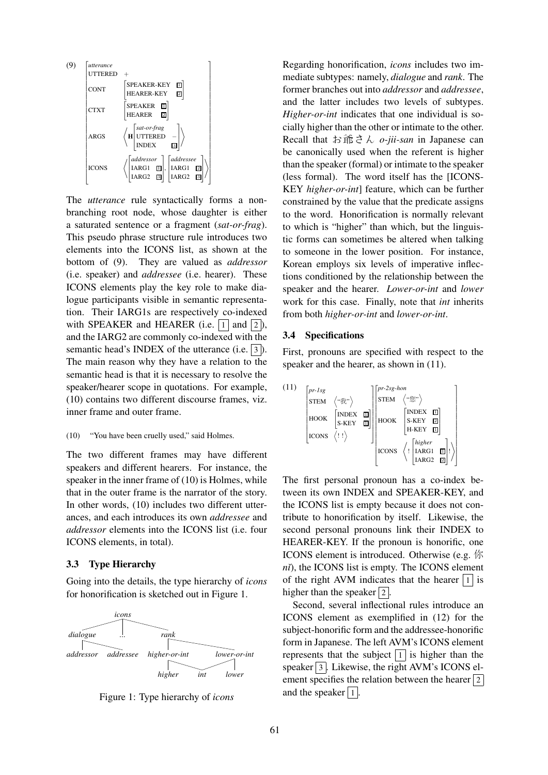

The *utterance* rule syntactically forms a nonbranching root node, whose daughter is either a saturated sentence or a fragment (*sat-or-frag*). This pseudo phrase structure rule introduces two elements into the ICONS list, as shown at the bottom of (9). They are valued as *addressor* (i.e. speaker) and *addressee* (i.e. hearer). These ICONS elements play the key role to make dialogue participants visible in semantic representation. Their IARG1s are respectively co-indexed with SPEAKER and HEARER (i.e.  $|1|$  and  $|2|$ ), and the IARG2 are commonly co-indexed with the semantic head's INDEX of the utterance (i.e.  $\boxed{3}$ ). The main reason why they have a relation to the semantic head is that it is necessary to resolve the speaker/hearer scope in quotations. For example, (10) contains two different discourse frames, viz. inner frame and outer frame.

#### (10) "You have been cruelly used," said Holmes.

The two different frames may have different speakers and different hearers. For instance, the speaker in the inner frame of (10) is Holmes, while that in the outer frame is the narrator of the story. In other words, (10) includes two different utterances, and each introduces its own *addressee* and *addressor* elements into the ICONS list (i.e. four ICONS elements, in total).

#### 3.3 Type Hierarchy

Going into the details, the type hierarchy of *icons* for honorification is sketched out in Figure 1.



Figure 1: Type hierarchy of *icons*

Regarding honorification, *icons* includes two immediate subtypes: namely, *dialogue* and *rank*. The former branches out into *addressor* and *addressee*, and the latter includes two levels of subtypes. *Higher-or-int* indicates that one individual is socially higher than the other or intimate to the other. Recall that  $\ddot{x}$   $\hat{m}$   $\ddot{\phi}$   $\phi$ -*jii-san* in Japanese can be canonically used when the referent is higher than the speaker (formal) or intimate to the speaker (less formal). The word itself has the [ICONS-KEY *higher-or-int*] feature, which can be further constrained by the value that the predicate assigns to the word. Honorification is normally relevant to which is "higher" than which, but the linguistic forms can sometimes be altered when talking to someone in the lower position. For instance, Korean employs six levels of imperative inflections conditioned by the relationship between the speaker and the hearer. *Lower-or-int* and *lower* work for this case. Finally, note that *int* inherits from both *higher-or-int* and *lower-or-int*.

#### 3.4 Specifications

First, pronouns are specified with respect to the speaker and the hearer, as shown in  $(11)$ .



The first personal pronoun has a co-index between its own INDEX and SPEAKER-KEY, and the ICONS list is empty because it does not contribute to honorification by itself. Likewise, the second personal pronouns link their INDEX to HEARER-KEY. If the pronoun is honorific, one ICONS element is introduced. Otherwise (e.g. 你 *nt*), the ICONS list is empty. The ICONS element of the right AVM indicates that the hearer  $\boxed{1}$  is higher than the speaker  $\vert$  2.

Second, several inflectional rules introduce an ICONS element as exemplified in (12) for the subject-honorific form and the addressee-honorific form in Japanese. The left AVM's ICONS element represents that the subject  $\boxed{1}$  is higher than the speaker  $\vert$  3 . Likewise, the right AVM's ICONS element specifies the relation between the hearer  $\boxed{2}$ and the speaker  $\boxed{1}$ .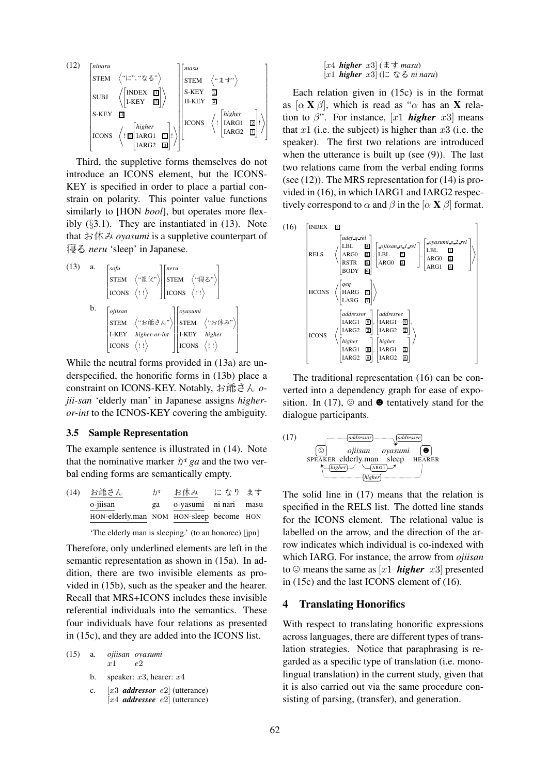(12)  
\n
$$
\begin{bmatrix}\n\text{minaru} & \langle \text{``L''}, \text{``&t''} \rangle \\
\text{STEM} & \langle \text{``L''}, \text{``&t''} \rangle \\
\text{SUBJ} & \langle \begin{bmatrix} \text{INDEX} & \text{m} \\ \text{I-KEY} & \text{m} \end{bmatrix} \rangle \\
\text{SUBJ} & \langle \begin{bmatrix} \text{INDEX} & \text{m} \\ \text{I-KEY} & \text{m} \end{bmatrix} \rangle \\
\text{S-KEY} & \text{m} \\
\text{S-KEY} & \text{m} \\
\text{S-KEY} & \text{m} \\
\text{I-KEY} & \text{m} \\
\text{I-KEY} & \text{m} \\
\text{I-KEY} & \text{m}\n\end{bmatrix}
$$

Third, the suppletive forms themselves do not introduce an ICONS element, but the ICONS-KEY is specified in order to place a partial constrain on polarity. This pointer value functions similarly to [HON *bool*], but operates more flexibly  $(\S 3.1)$ . They are instantiated in (13). Note that お休み *oyasumi* is a suppletive counterpart of 寝る *neru* 'sleep' in Japanese.

(13) a. 
$$
\begin{bmatrix} \text{sgu} \\ \text{STEM} \\ \text{ICONS} \end{bmatrix} \begin{bmatrix} \text{neru} \\ \text{STEM} \\ \text{ICONS} \end{bmatrix} \begin{bmatrix} \text{neru} \\ \text{STEM} \\ \text{ICONS} \end{bmatrix}
$$
  
b. 
$$
\begin{bmatrix} \text{ojiisan} \\ \text{STEM} \\ \text{STEM} \\ \text{LKEY} \\ \text{LKEY} \\ \text{ICONS} \end{bmatrix} \begin{bmatrix} \text{ovasumi} \\ \text{STEM} \\ \text{STEM} \\ \text{LKEY} \\ \text{LCONS} \end{bmatrix}
$$

While the neutral forms provided in (13a) are underspecified, the honorific forms in (13b) place a constraint on ICONS-KEY. Notably, お爺さん *ojii-san* 'elderly man' in Japanese assigns *higheror-int* to the ICNOS-KEY covering the ambiguity.

#### 3.5 Sample Representation

The example sentence is illustrated in (14). Note that the nominative marker  $\dot{\pi}$ <sup>*s*</sup> ga and the two verbal ending forms are semantically empty.

| (14) | お爺さん                                     | ゎ゚ | お休み                   | に なり ます |  |
|------|------------------------------------------|----|-----------------------|---------|--|
|      | o-jiisan                                 | gα | o-yasumi ni nari masu |         |  |
|      | HON-elderly.man NOM HON-sleep become HON |    |                       |         |  |

'The elderly man is sleeping.' (to an honoree) [jpn]

Therefore, only underlined elements are left in the semantic representation as shown in (15a). In addition, there are two invisible elements as provided in (15b), such as the speaker and the hearer. Recall that MRS+ICONS includes these invisible referential individuals into the semantics. These four individuals have four relations as presented in (15c), and they are added into the ICONS list.

| (15) | x1 | a. <i>ojiisan oyasumi</i><br>e2 |
|------|----|---------------------------------|
|      |    | speaker: $x3$ , hearer: $x4$    |

c. [x3 *addressor* e2] (utterance) [x4 *addressee* e2] (utterance) [x4 *higher* x3] (ます *masu*) [x1 *higher* x3] (に なる *ni naru*)

Each relation given in (15c) is in the format as  $\alpha \times \beta$ , which is read as " $\alpha$  has an X relation to  $\beta$ ". For instance, [x1 **higher** x3] means that  $x1$  (i.e. the subject) is higher than  $x3$  (i.e. the speaker). The first two relations are introduced when the utterance is built up (see (9)). The last two relations came from the verbal ending forms (see (12)). The MRS representation for (14) is provided in (16), in which IARG1 and IARG2 respectively correspond to  $\alpha$  and  $\beta$  in the  $[\alpha \mathbf{X} \beta]$  format.



The traditional representation (16) can be converted into a dependency graph for ease of exposition. In (17),  $\odot$  and  $\bullet$  tentatively stand for the dialogue participants.



The solid line in (17) means that the relation is specified in the RELS list. The dotted line stands for the ICONS element. The relational value is labelled on the arrow, and the direction of the arrow indicates which individual is co-indexed with which IARG. For instance, the arrow from *ojiisan* to  $\odot$  means the same as [x1 *higher* x3] presented in (15c) and the last ICONS element of (16).

### 4 Translating Honorifics

With respect to translating honorific expressions across languages, there are different types of translation strategies. Notice that paraphrasing is regarded as a specific type of translation (i.e. monolingual translation) in the current study, given that it is also carried out via the same procedure consisting of parsing, (transfer), and generation.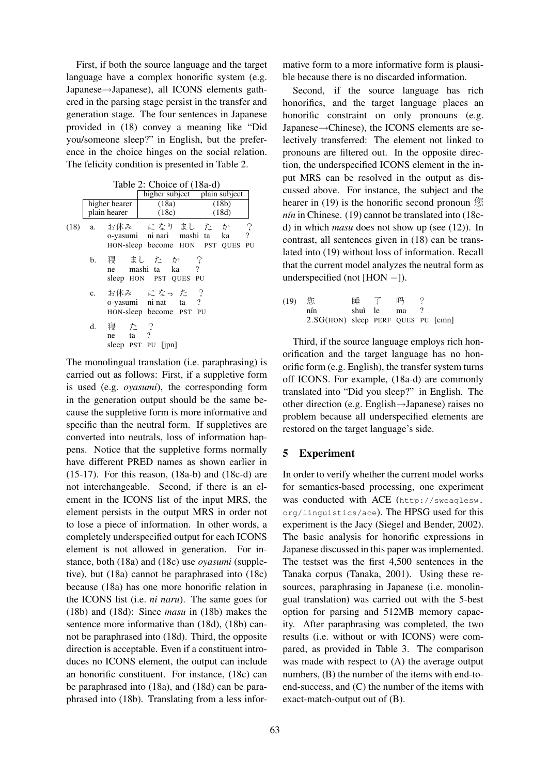First, if both the source language and the target language have a complex honorific system (e.g. Japanese→Japanese), all ICONS elements gathered in the parsing stage persist in the transfer and generation stage. The four sentences in Japanese provided in (18) convey a meaning like "Did you/someone sleep?" in English, but the preference in the choice hinges on the social relation. The felicity condition is presented in Table 2.

|      | Table 2: Choice of (18a-d) |                                                                 |  |                              |  |       |                              |                               |               |
|------|----------------------------|-----------------------------------------------------------------|--|------------------------------|--|-------|------------------------------|-------------------------------|---------------|
|      |                            |                                                                 |  | higher subject plain subject |  |       |                              |                               |               |
|      |                            | higher hearer                                                   |  |                              |  | (18a) |                              | (18b)                         |               |
|      |                            | plain hearer                                                    |  |                              |  | (18c) |                              | (18d)                         |               |
| (18) |                            | a. お休み  に なり まし た か                                             |  |                              |  |       |                              |                               | $\frac{?}{?}$ |
|      |                            |                                                                 |  |                              |  |       | o-yasumi ni nari mashi ta ka |                               |               |
|      |                            |                                                                 |  |                              |  |       |                              | HON-sleep become HON PST QUES | PU            |
|      | b.                         | 寝すまし たしか<br>ne mashi ta ka<br>sleep HON PST QUES PU             |  |                              |  |       | $\gamma$                     |                               |               |
|      |                            | c. お休み になった?<br>o-yasumi ni nat ta ?<br>HON-sleep become PST PU |  |                              |  |       |                              |                               |               |
|      | d.                         | 寝 た ?<br>$ne$ ta ?<br>sleep PST PU [jpn]                        |  |                              |  |       |                              |                               |               |

The monolingual translation (i.e. paraphrasing) is carried out as follows: First, if a suppletive form is used (e.g. *oyasumi*), the corresponding form in the generation output should be the same because the suppletive form is more informative and specific than the neutral form. If suppletives are converted into neutrals, loss of information happens. Notice that the suppletive forms normally have different PRED names as shown earlier in  $(15-17)$ . For this reason,  $(18a-b)$  and  $(18c-d)$  are not interchangeable. Second, if there is an element in the ICONS list of the input MRS, the element persists in the output MRS in order not to lose a piece of information. In other words, a completely underspecified output for each ICONS element is not allowed in generation. For instance, both (18a) and (18c) use *oyasumi* (suppletive), but (18a) cannot be paraphrased into (18c) because (18a) has one more honorific relation in the ICONS list (i.e. *ni naru*). The same goes for (18b) and (18d): Since *masu* in (18b) makes the sentence more informative than (18d), (18b) cannot be paraphrased into (18d). Third, the opposite direction is acceptable. Even if a constituent introduces no ICONS element, the output can include an honorific constituent. For instance, (18c) can be paraphrased into (18a), and (18d) can be paraphrased into (18b). Translating from a less infor-

mative form to a more informative form is plausible because there is no discarded information.

Second, if the source language has rich honorifics, and the target language places an honorific constraint on only pronouns (e.g. Japanese→Chinese), the ICONS elements are selectively transferred: The element not linked to pronouns are filtered out. In the opposite direction, the underspecified ICONS element in the input MRS can be resolved in the output as discussed above. For instance, the subject and the hearer in (19) is the honorific second pronoun  $\&$ *nín* in Chinese. (19) cannot be translated into (18cd) in which *masu* does not show up (see (12)). In contrast, all sentences given in (18) can be translated into (19) without loss of information. Recall that the current model analyzes the neutral form as underspecified (not  $[HON -]$ ).

| (19) 您 |                                        | 睡了      | 口马 |  |
|--------|----------------------------------------|---------|----|--|
|        | nín                                    | shuì le | ma |  |
|        | $2.SG(HON)$ sleep PERF QUES PU $[cmn]$ |         |    |  |

Third, if the source language employs rich honorification and the target language has no honorific form (e.g. English), the transfer system turns off ICONS. For example, (18a-d) are commonly translated into "Did you sleep?" in English. The other direction (e.g. English→Japanese) raises no problem because all underspecified elements are restored on the target language's side.

## 5 Experiment

In order to verify whether the current model works for semantics-based processing, one experiment was conducted with ACE (http://sweaglesw. org/linguistics/ace). The HPSG used for this experiment is the Jacy (Siegel and Bender, 2002). The basic analysis for honorific expressions in Japanese discussed in this paper was implemented. The testset was the first 4,500 sentences in the Tanaka corpus (Tanaka, 2001). Using these resources, paraphrasing in Japanese (i.e. monolingual translation) was carried out with the 5-best option for parsing and 512MB memory capacity. After paraphrasing was completed, the two results (i.e. without or with ICONS) were compared, as provided in Table 3. The comparison was made with respect to (A) the average output numbers, (B) the number of the items with end-toend-success, and (C) the number of the items with exact-match-output out of (B).